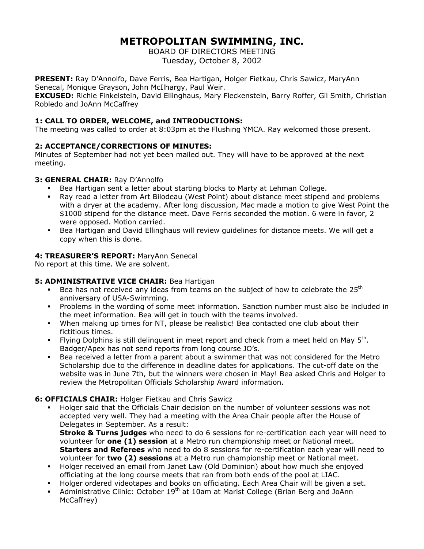# **METROPOLITAN SWIMMING, INC.**

BOARD OF DIRECTORS MEETING Tuesday, October 8, 2002

**PRESENT:** Ray D'Annolfo, Dave Ferris, Bea Hartigan, Holger Fietkau, Chris Sawicz, MaryAnn Senecal, Monique Grayson, John McIlhargy, Paul Weir.

**EXCUSED:** Richie Finkelstein, David Ellinghaus, Mary Fleckenstein, Barry Roffer, Gil Smith, Christian Robledo and JoAnn McCaffrey

# **1: CALL TO ORDER, WELCOME, and INTRODUCTIONS:**

The meeting was called to order at 8:03pm at the Flushing YMCA. Ray welcomed those present.

# **2: ACCEPTANCE/CORRECTIONS OF MINUTES:**

Minutes of September had not yet been mailed out. They will have to be approved at the next meeting.

# **3: GENERAL CHAIR:** Ray D'Annolfo

- Bea Hartigan sent a letter about starting blocks to Marty at Lehman College.
- Ray read a letter from Art Bilodeau (West Point) about distance meet stipend and problems with a dryer at the academy. After long discussion, Mac made a motion to give West Point the \$1000 stipend for the distance meet. Dave Ferris seconded the motion. 6 were in favor, 2 were opposed. Motion carried.
- Bea Hartigan and David Ellinghaus will review guidelines for distance meets. We will get a copy when this is done.

## **4: TREASURER'S REPORT:** MaryAnn Senecal

No report at this time. We are solvent.

# **5: ADMINISTRATIVE VICE CHAIR:** Bea Hartigan

- Bea has not received any ideas from teams on the subject of how to celebrate the  $25<sup>th</sup>$ anniversary of USA-Swimming.
- Problems in the wording of some meet information. Sanction number must also be included in the meet information. Bea will get in touch with the teams involved.
- When making up times for NT, please be realistic! Bea contacted one club about their fictitious times.
- Flying Dolphins is still delinguent in meet report and check from a meet held on May  $5<sup>th</sup>$ . Badger/Apex has not send reports from long course JO's.
- Bea received a letter from a parent about a swimmer that was not considered for the Metro Scholarship due to the difference in deadline dates for applications. The cut-off date on the website was in June 7th, but the winners were chosen in May! Bea asked Chris and Holger to review the Metropolitan Officials Scholarship Award information.

# **6: OFFICIALS CHAIR:** Holger Fietkau and Chris Sawicz

- Holger said that the Officials Chair decision on the number of volunteer sessions was not accepted very well. They had a meeting with the Area Chair people after the House of Delegates in September. As a result: **Stroke & Turns judges** who need to do 6 sessions for re-certification each year will need to volunteer for **one (1) session** at a Metro run championship meet or National meet. **Starters and Referees** who need to do 8 sessions for re-certification each year will need to volunteer for **two (2) sessions** at a Metro run championship meet or National meet.
- Holger received an email from Janet Law (Old Dominion) about how much she enjoyed officiating at the long course meets that ran from both ends of the pool at LIAC.
- Holger ordered videotapes and books on officiating. Each Area Chair will be given a set.
- Administrative Clinic: October 19<sup>th</sup> at 10am at Marist College (Brian Berg and JoAnn McCaffrey)